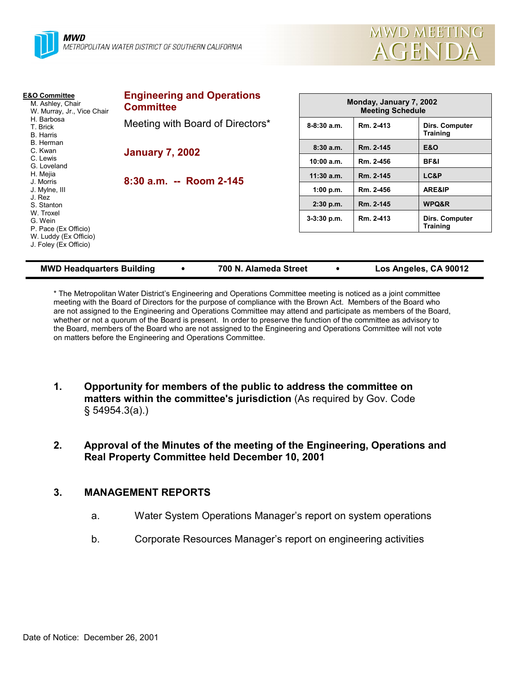



| <b>E&amp;O Committee</b><br>M. Ashley, Chair<br>W. Murray, Jr., Vice Chair<br>H. Barbosa<br>T. Brick<br><b>B.</b> Harris<br>B. Herman<br>C. Kwan<br>C. Lewis<br>G. Loveland | <b>Engineering and Operations</b><br><b>Committee</b> |               | Monday, January 7, 2002<br><b>Meeting Schedule</b> |                                   |  |  |
|-----------------------------------------------------------------------------------------------------------------------------------------------------------------------------|-------------------------------------------------------|---------------|----------------------------------------------------|-----------------------------------|--|--|
|                                                                                                                                                                             | Meeting with Board of Directors*                      | $8-8:30$ a.m. | Rm. 2-413                                          | Dirs. Computer<br><b>Training</b> |  |  |
|                                                                                                                                                                             | <b>January 7, 2002</b>                                | 8:30a.m.      | Rm. 2-145                                          | E&O                               |  |  |
|                                                                                                                                                                             |                                                       | 10:00 a.m.    | Rm. 2-456                                          | BF&I                              |  |  |
| H. Mejia                                                                                                                                                                    | 8:30 a.m. -- Room 2-145                               | $11:30$ a.m.  | Rm. 2-145                                          | LC&P                              |  |  |
| J. Morris<br>J. Mylne, III<br>J. Rez<br>S. Stanton<br>W. Troxel<br>G. Wein<br>P. Pace (Ex Officio)<br>W. Luddy (Ex Officio)<br>J. Foley (Ex Officio)                        |                                                       | 1:00 p.m.     | Rm. 2-456                                          | <b>ARE&amp;IP</b>                 |  |  |
|                                                                                                                                                                             |                                                       | 2:30 p.m.     | Rm. 2-145                                          | WPQ&R                             |  |  |
|                                                                                                                                                                             |                                                       | 3-3:30 p.m.   | Rm. 2-413                                          | Dirs. Computer<br><b>Training</b> |  |  |
|                                                                                                                                                                             |                                                       |               |                                                    |                                   |  |  |

| <b>MWD Headquarters Building</b> |  | 700 N. Alameda Street |  | Los Angeles, CA 90012 |
|----------------------------------|--|-----------------------|--|-----------------------|
|----------------------------------|--|-----------------------|--|-----------------------|

\* The Metropolitan Water Districtís Engineering and Operations Committee meeting is noticed as a joint committee meeting with the Board of Directors for the purpose of compliance with the Brown Act. Members of the Board who are not assigned to the Engineering and Operations Committee may attend and participate as members of the Board, whether or not a quorum of the Board is present. In order to preserve the function of the committee as advisory to the Board, members of the Board who are not assigned to the Engineering and Operations Committee will not vote on matters before the Engineering and Operations Committee.

- **1. Opportunity for members of the public to address the committee on matters within the committee's jurisdiction** (As required by Gov. Code ß 54954.3(a).)
- **2. Approval of the Minutes of the meeting of the Engineering, Operations and Real Property Committee held December 10, 2001**

# **3. MANAGEMENT REPORTS**

- a. Water System Operations Manager's report on system operations
- b. Corporate Resources Manager's report on engineering activities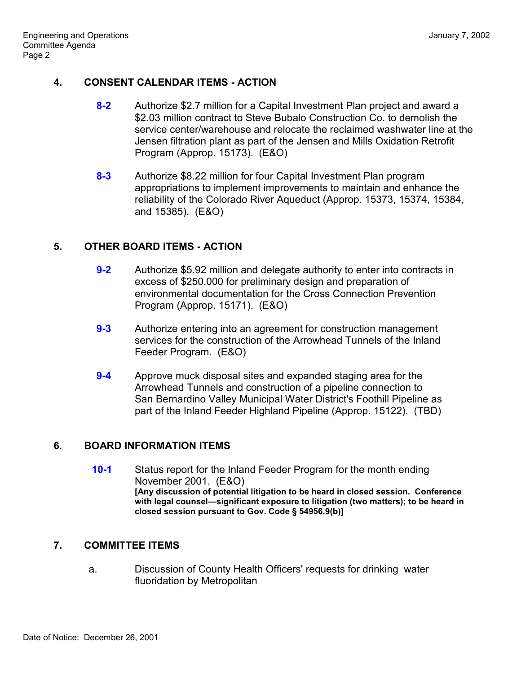## **4. CONSENT CALENDAR ITEMS - ACTION**

- **8-2** Authorize \$2.7 million for a Capital Investment Plan project and award a \$2.03 million contract to Steve Bubalo Construction Co. to demolish the service center/warehouse and relocate the reclaimed washwater line at the Jensen filtration plant as part of the Jensen and Mills Oxidation Retrofit Program (Approp. 15173). (E&O)
- **8-3** Authorize \$8.22 million for four Capital Investment Plan program appropriations to implement improvements to maintain and enhance the reliability of the Colorado River Aqueduct (Approp. 15373, 15374, 15384, and 15385). (E&O)

## **5. OTHER BOARD ITEMS - ACTION**

- **9-2** Authorize \$5.92 million and delegate authority to enter into contracts in excess of \$250,000 for preliminary design and preparation of environmental documentation for the Cross Connection Prevention Program (Approp. 15171). (E&O)
- **9-3** Authorize entering into an agreement for construction management services for the construction of the Arrowhead Tunnels of the Inland Feeder Program. (E&O)
- **9-4** Approve muck disposal sites and expanded staging area for the Arrowhead Tunnels and construction of a pipeline connection to San Bernardino Valley Municipal Water District's Foothill Pipeline as part of the Inland Feeder Highland Pipeline (Approp. 15122). (TBD)

#### **6. BOARD INFORMATION ITEMS**

**10-1** Status report for the Inland Feeder Program for the month ending November 2001. (E&O) **[Any discussion of potential litigation to be heard in closed session. Conference** with legal counsel-significant exposure to litigation (two matters); to be heard in **closed session pursuant to Gov. Code ß 54956.9(b)]**

# **7. COMMITTEE ITEMS**

a. Discussion of County Health Officers' requests for drinking water fluoridation by Metropolitan